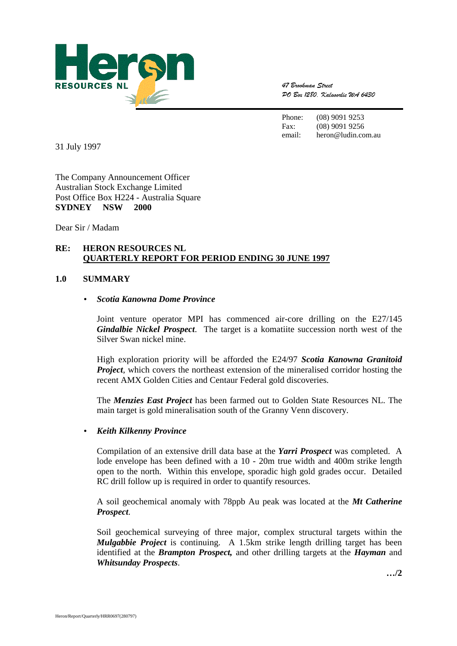

47 Brookman Street DO Box 1280. Kalaoorlie WA 6430

Phone: (08) 9091 9253 Fax: (08) 9091 9256 email: heron@ludin.com.au

31 July 1997

The Company Announcement Officer Australian Stock Exchange Limited Post Office Box H224 - Australia Square **SYDNEY NSW 2000** 

Dear Sir / Madam

## **RE: HERON RESOURCES NL QUARTERLY REPORT FOR PERIOD ENDING 30 JUNE 1997**

#### **1.0 SUMMARY**

#### • *Scotia Kanowna Dome Province*

Joint venture operator MPI has commenced air-core drilling on the E27/145 *Gindalbie Nickel Prospect*. The target is a komatiite succession north west of the Silver Swan nickel mine.

High exploration priority will be afforded the E24/97 *Scotia Kanowna Granitoid Project*, which covers the northeast extension of the mineralised corridor hosting the recent AMX Golden Cities and Centaur Federal gold discoveries.

The *Menzies East Project* has been farmed out to Golden State Resources NL. The main target is gold mineralisation south of the Granny Venn discovery.

#### • *Keith Kilkenny Province*

Compilation of an extensive drill data base at the *Yarri Prospect* was completed. A lode envelope has been defined with a 10 - 20m true width and 400m strike length open to the north. Within this envelope, sporadic high gold grades occur. Detailed RC drill follow up is required in order to quantify resources.

A soil geochemical anomaly with 78ppb Au peak was located at the *Mt Catherine Prospect*.

Soil geochemical surveying of three major, complex structural targets within the *Mulgabbie Project* is continuing. A 1.5km strike length drilling target has been identified at the *Brampton Prospect,* and other drilling targets at the *Hayman* and *Whitsunday Prospects*.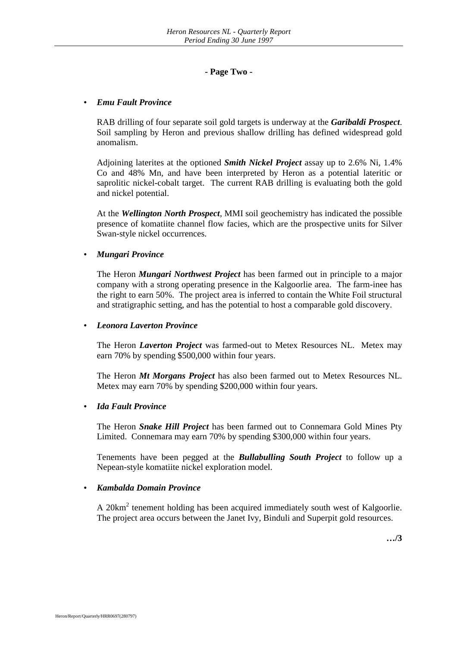## **- Page Two -**

#### • *Emu Fault Province*

RAB drilling of four separate soil gold targets is underway at the *Garibaldi Prospect*. Soil sampling by Heron and previous shallow drilling has defined widespread gold anomalism.

Adjoining laterites at the optioned *Smith Nickel Project* assay up to 2.6% Ni, 1.4% Co and 48% Mn, and have been interpreted by Heron as a potential lateritic or saprolitic nickel-cobalt target. The current RAB drilling is evaluating both the gold and nickel potential.

At the *Wellington North Prospect*, MMI soil geochemistry has indicated the possible presence of komatiite channel flow facies, which are the prospective units for Silver Swan-style nickel occurrences.

## • *Mungari Province*

The Heron *Mungari Northwest Project* has been farmed out in principle to a major company with a strong operating presence in the Kalgoorlie area. The farm-inee has the right to earn 50%. The project area is inferred to contain the White Foil structural and stratigraphic setting, and has the potential to host a comparable gold discovery.

#### • *Leonora Laverton Province*

The Heron *Laverton Project* was farmed-out to Metex Resources NL. Metex may earn 70% by spending \$500,000 within four years.

The Heron *Mt Morgans Project* has also been farmed out to Metex Resources NL. Metex may earn 70% by spending \$200,000 within four years.

## • *Ida Fault Province*

The Heron *Snake Hill Project* has been farmed out to Connemara Gold Mines Pty Limited. Connemara may earn 70% by spending \$300,000 within four years.

Tenements have been pegged at the *Bullabulling South Project* to follow up a Nepean-style komatiite nickel exploration model.

#### • *Kambalda Domain Province*

A 20 $km<sup>2</sup>$  tenement holding has been acquired immediately south west of Kalgoorlie. The project area occurs between the Janet Ivy, Binduli and Superpit gold resources.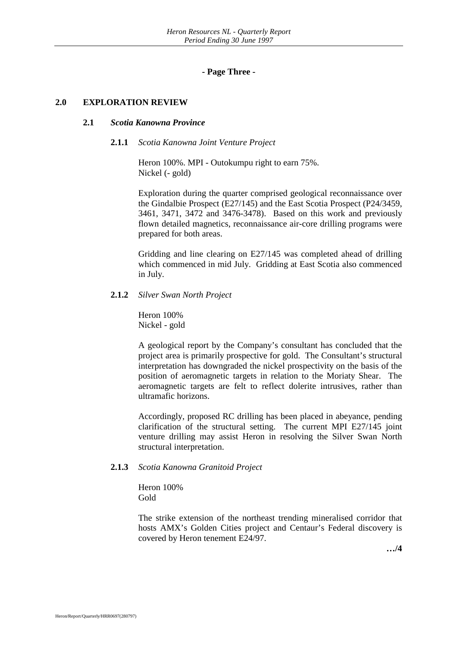**- Page Three -**

#### **2.0 EXPLORATION REVIEW**

#### **2.1** *Scotia Kanowna Province*

#### **2.1.1** *Scotia Kanowna Joint Venture Project*

Heron 100%. MPI - Outokumpu right to earn 75%. Nickel (- gold)

Exploration during the quarter comprised geological reconnaissance over the Gindalbie Prospect (E27/145) and the East Scotia Prospect (P24/3459, 3461, 3471, 3472 and 3476-3478). Based on this work and previously flown detailed magnetics, reconnaissance air-core drilling programs were prepared for both areas.

Gridding and line clearing on E27/145 was completed ahead of drilling which commenced in mid July. Gridding at East Scotia also commenced in July.

#### **2.1.2** *Silver Swan North Project*

Heron 100% Nickel - gold

A geological report by the Company's consultant has concluded that the project area is primarily prospective for gold. The Consultant's structural interpretation has downgraded the nickel prospectivity on the basis of the position of aeromagnetic targets in relation to the Moriaty Shear. The aeromagnetic targets are felt to reflect dolerite intrusives, rather than ultramafic horizons.

Accordingly, proposed RC drilling has been placed in abeyance, pending clarification of the structural setting. The current MPI E27/145 joint venture drilling may assist Heron in resolving the Silver Swan North structural interpretation.

#### **2.1.3** *Scotia Kanowna Granitoid Project*

Heron 100% Gold

The strike extension of the northeast trending mineralised corridor that hosts AMX's Golden Cities project and Centaur's Federal discovery is covered by Heron tenement E24/97.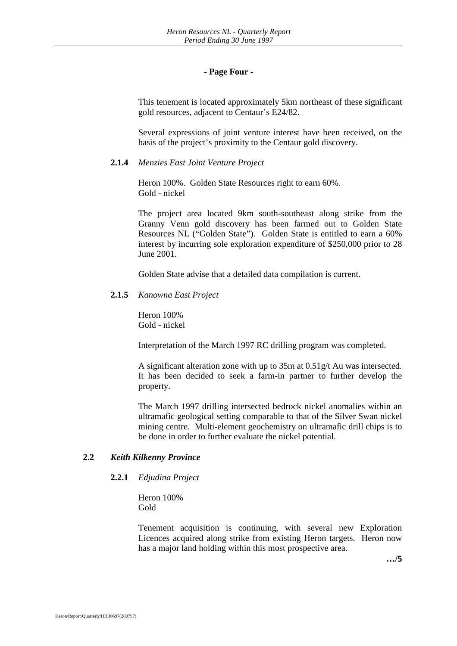## **- Page Four -**

This tenement is located approximately 5km northeast of these significant gold resources, adjacent to Centaur's E24/82.

Several expressions of joint venture interest have been received, on the basis of the project's proximity to the Centaur gold discovery.

#### **2.1.4** *Menzies East Joint Venture Project*

Heron 100%. Golden State Resources right to earn 60%. Gold - nickel

The project area located 9km south-southeast along strike from the Granny Venn gold discovery has been farmed out to Golden State Resources NL ("Golden State"). Golden State is entitled to earn a 60% interest by incurring sole exploration expenditure of \$250,000 prior to 28 June 2001.

Golden State advise that a detailed data compilation is current.

#### **2.1.5** *Kanowna East Project*

Heron 100% Gold - nickel

Interpretation of the March 1997 RC drilling program was completed.

A significant alteration zone with up to 35m at 0.51g/t Au was intersected. It has been decided to seek a farm-in partner to further develop the property.

The March 1997 drilling intersected bedrock nickel anomalies within an ultramafic geological setting comparable to that of the Silver Swan nickel mining centre. Multi-element geochemistry on ultramafic drill chips is to be done in order to further evaluate the nickel potential.

## **2.2** *Keith Kilkenny Province*

## **2.2.1** *Edjudina Project*

Heron 100% Gold

Tenement acquisition is continuing, with several new Exploration Licences acquired along strike from existing Heron targets. Heron now has a major land holding within this most prospective area.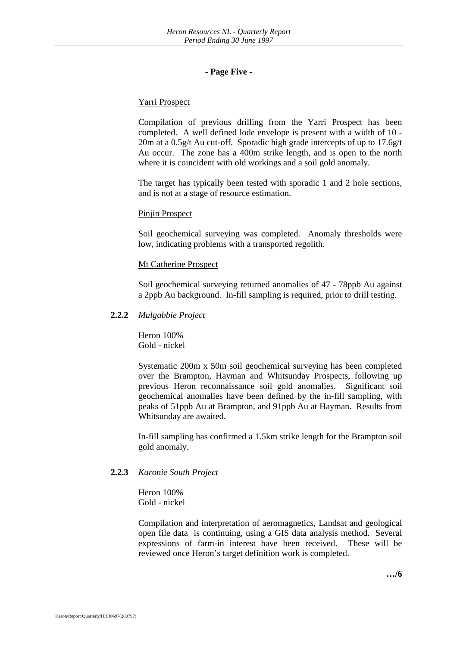## **- Page Five -**

## Yarri Prospect

Compilation of previous drilling from the Yarri Prospect has been completed. A well defined lode envelope is present with a width of 10 - 20m at a 0.5g/t Au cut-off. Sporadic high grade intercepts of up to 17.6g/t Au occur. The zone has a 400m strike length, and is open to the north where it is coincident with old workings and a soil gold anomaly.

The target has typically been tested with sporadic 1 and 2 hole sections, and is not at a stage of resource estimation.

#### Pinjin Prospect

Soil geochemical surveying was completed. Anomaly thresholds were low, indicating problems with a transported regolith.

#### Mt Catherine Prospect

Soil geochemical surveying returned anomalies of 47 - 78ppb Au against a 2ppb Au background. In-fill sampling is required, prior to drill testing.

#### **2.2.2** *Mulgabbie Project*

Heron 100% Gold - nickel

Systematic 200m x 50m soil geochemical surveying has been completed over the Brampton, Hayman and Whitsunday Prospects, following up previous Heron reconnaissance soil gold anomalies. Significant soil geochemical anomalies have been defined by the in-fill sampling, with peaks of 51ppb Au at Brampton, and 91ppb Au at Hayman. Results from Whitsunday are awaited.

In-fill sampling has confirmed a 1.5km strike length for the Brampton soil gold anomaly.

## **2.2.3** *Karonie South Project*

Heron 100% Gold - nickel

Compilation and interpretation of aeromagnetics, Landsat and geological open file data is continuing, using a GIS data analysis method. Several expressions of farm-in interest have been received. These will be reviewed once Heron's target definition work is completed.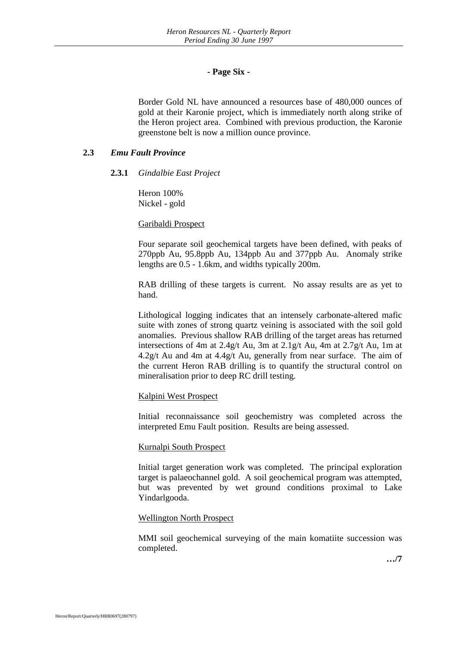## **- Page Six -**

Border Gold NL have announced a resources base of 480,000 ounces of gold at their Karonie project, which is immediately north along strike of the Heron project area. Combined with previous production, the Karonie greenstone belt is now a million ounce province.

## **2.3** *Emu Fault Province*

#### **2.3.1** *Gindalbie East Project*

Heron 100% Nickel - gold

#### Garibaldi Prospect

Four separate soil geochemical targets have been defined, with peaks of 270ppb Au, 95.8ppb Au, 134ppb Au and 377ppb Au. Anomaly strike lengths are 0.5 - 1.6km, and widths typically 200m.

RAB drilling of these targets is current. No assay results are as yet to hand.

Lithological logging indicates that an intensely carbonate-altered mafic suite with zones of strong quartz veining is associated with the soil gold anomalies. Previous shallow RAB drilling of the target areas has returned intersections of 4m at 2.4g/t Au, 3m at 2.1g/t Au, 4m at 2.7g/t Au, 1m at 4.2g/t Au and 4m at 4.4g/t Au, generally from near surface. The aim of the current Heron RAB drilling is to quantify the structural control on mineralisation prior to deep RC drill testing.

## Kalpini West Prospect

Initial reconnaissance soil geochemistry was completed across the interpreted Emu Fault position. Results are being assessed.

#### Kurnalpi South Prospect

Initial target generation work was completed. The principal exploration target is palaeochannel gold. A soil geochemical program was attempted, but was prevented by wet ground conditions proximal to Lake Yindarlgooda.

#### Wellington North Prospect

MMI soil geochemical surveying of the main komatiite succession was completed.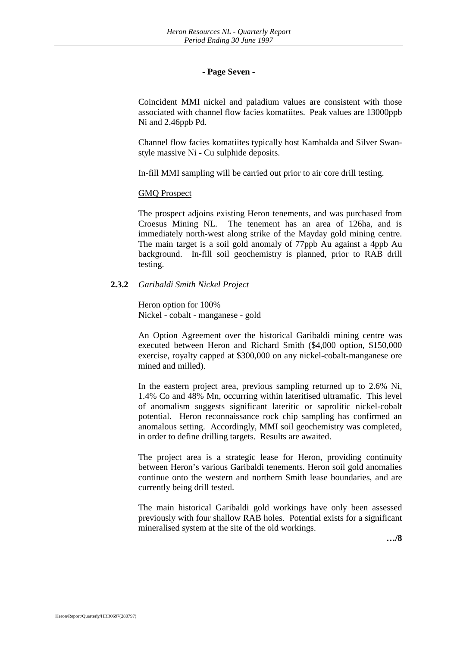#### **- Page Seven -**

Coincident MMI nickel and paladium values are consistent with those associated with channel flow facies komatiites. Peak values are 13000ppb Ni and 2.46ppb Pd.

Channel flow facies komatiites typically host Kambalda and Silver Swanstyle massive Ni - Cu sulphide deposits.

In-fill MMI sampling will be carried out prior to air core drill testing.

#### GMQ Prospect

The prospect adjoins existing Heron tenements, and was purchased from Croesus Mining NL. The tenement has an area of 126ha, and is immediately north-west along strike of the Mayday gold mining centre. The main target is a soil gold anomaly of 77ppb Au against a 4ppb Au background. In-fill soil geochemistry is planned, prior to RAB drill testing.

## **2.3.2** *Garibaldi Smith Nickel Project*

Heron option for 100% Nickel - cobalt - manganese - gold

An Option Agreement over the historical Garibaldi mining centre was executed between Heron and Richard Smith (\$4,000 option, \$150,000 exercise, royalty capped at \$300,000 on any nickel-cobalt-manganese ore mined and milled).

In the eastern project area, previous sampling returned up to 2.6% Ni, 1.4% Co and 48% Mn, occurring within lateritised ultramafic. This level of anomalism suggests significant lateritic or saprolitic nickel-cobalt potential. Heron reconnaissance rock chip sampling has confirmed an anomalous setting. Accordingly, MMI soil geochemistry was completed, in order to define drilling targets. Results are awaited.

The project area is a strategic lease for Heron, providing continuity between Heron's various Garibaldi tenements. Heron soil gold anomalies continue onto the western and northern Smith lease boundaries, and are currently being drill tested.

The main historical Garibaldi gold workings have only been assessed previously with four shallow RAB holes. Potential exists for a significant mineralised system at the site of the old workings.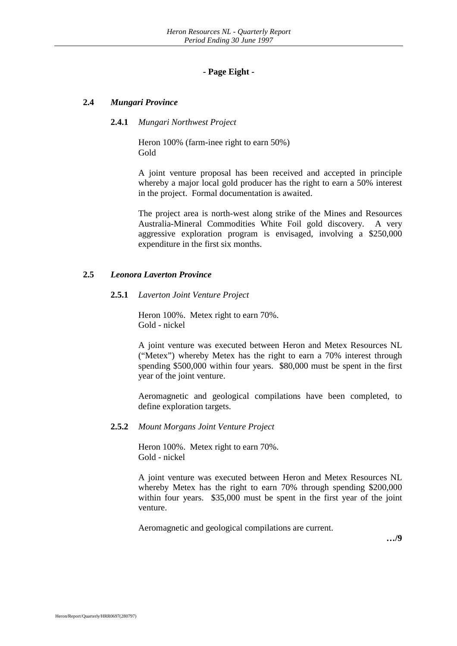## **- Page Eight -**

## **2.4** *Mungari Province*

#### **2.4.1** *Mungari Northwest Project*

Heron 100% (farm-inee right to earn 50%) Gold

A joint venture proposal has been received and accepted in principle whereby a major local gold producer has the right to earn a 50% interest in the project. Formal documentation is awaited.

The project area is north-west along strike of the Mines and Resources Australia-Mineral Commodities White Foil gold discovery. A very aggressive exploration program is envisaged, involving a \$250,000 expenditure in the first six months.

## **2.5** *Leonora Laverton Province*

#### **2.5.1** *Laverton Joint Venture Project*

Heron 100%. Metex right to earn 70%. Gold - nickel

A joint venture was executed between Heron and Metex Resources NL ("Metex") whereby Metex has the right to earn a 70% interest through spending \$500,000 within four years. \$80,000 must be spent in the first year of the joint venture.

Aeromagnetic and geological compilations have been completed, to define exploration targets.

#### **2.5.2** *Mount Morgans Joint Venture Project*

Heron 100%. Metex right to earn 70%. Gold - nickel

A joint venture was executed between Heron and Metex Resources NL whereby Metex has the right to earn 70% through spending \$200,000 within four years. \$35,000 must be spent in the first year of the joint venture.

Aeromagnetic and geological compilations are current.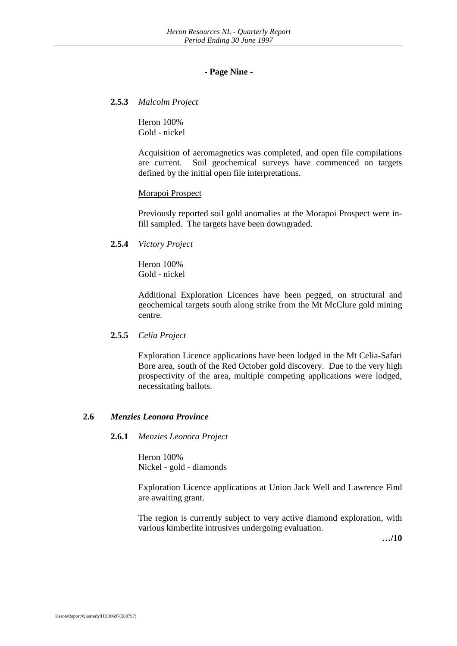#### **- Page Nine -**

**2.5.3** *Malcolm Project*

Heron 100% Gold - nickel

Acquisition of aeromagnetics was completed, and open file compilations are current. Soil geochemical surveys have commenced on targets defined by the initial open file interpretations.

#### Morapoi Prospect

Previously reported soil gold anomalies at the Morapoi Prospect were infill sampled. The targets have been downgraded.

**2.5.4** *Victory Project*

Heron 100% Gold - nickel

Additional Exploration Licences have been pegged, on structural and geochemical targets south along strike from the Mt McClure gold mining centre.

## **2.5.5** *Celia Project*

Exploration Licence applications have been lodged in the Mt Celia-Safari Bore area, south of the Red October gold discovery. Due to the very high prospectivity of the area, multiple competing applications were lodged, necessitating ballots.

## **2.6** *Menzies Leonora Province*

#### **2.6.1** *Menzies Leonora Project*

Heron 100% Nickel - gold - diamonds

Exploration Licence applications at Union Jack Well and Lawrence Find are awaiting grant.

The region is currently subject to very active diamond exploration, with various kimberlite intrusives undergoing evaluation.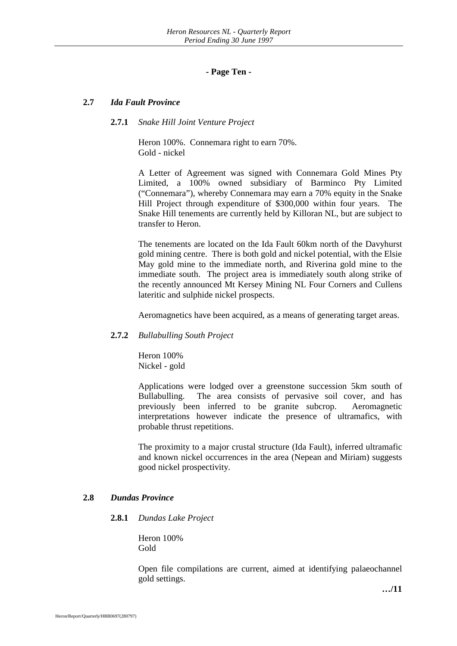## **- Page Ten -**

#### **2.7** *Ida Fault Province*

#### **2.7.1** *Snake Hill Joint Venture Project*

Heron 100%. Connemara right to earn 70%. Gold - nickel

A Letter of Agreement was signed with Connemara Gold Mines Pty Limited, a 100% owned subsidiary of Barminco Pty Limited ("Connemara"), whereby Connemara may earn a 70% equity in the Snake Hill Project through expenditure of \$300,000 within four years. The Snake Hill tenements are currently held by Killoran NL, but are subject to transfer to Heron.

The tenements are located on the Ida Fault 60km north of the Davyhurst gold mining centre. There is both gold and nickel potential, with the Elsie May gold mine to the immediate north, and Riverina gold mine to the immediate south. The project area is immediately south along strike of the recently announced Mt Kersey Mining NL Four Corners and Cullens lateritic and sulphide nickel prospects.

Aeromagnetics have been acquired, as a means of generating target areas.

#### **2.7.2** *Bullabulling South Project*

Heron 100% Nickel - gold

Applications were lodged over a greenstone succession 5km south of Bullabulling. The area consists of pervasive soil cover, and has previously been inferred to be granite subcrop. Aeromagnetic interpretations however indicate the presence of ultramafics, with probable thrust repetitions.

The proximity to a major crustal structure (Ida Fault), inferred ultramafic and known nickel occurrences in the area (Nepean and Miriam) suggests good nickel prospectivity.

#### **2.8** *Dundas Province*

#### **2.8.1** *Dundas Lake Project*

Heron 100% Gold

Open file compilations are current, aimed at identifying palaeochannel gold settings.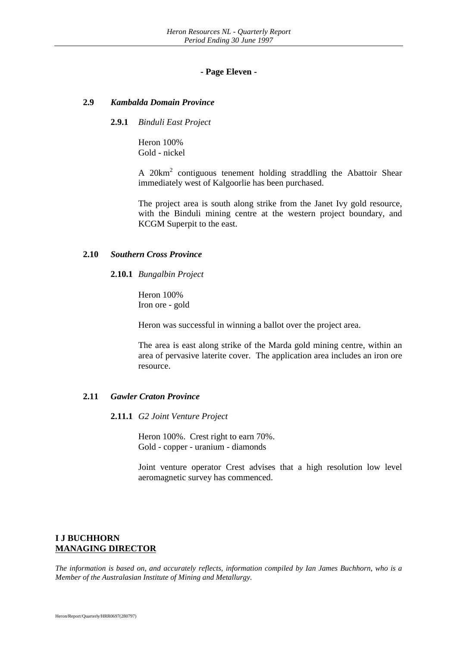#### **- Page Eleven -**

#### **2.9** *Kambalda Domain Province*

#### **2.9.1** *Binduli East Project*

Heron 100% Gold - nickel

A 20km<sup>2</sup> contiguous tenement holding straddling the Abattoir Shear immediately west of Kalgoorlie has been purchased.

The project area is south along strike from the Janet Ivy gold resource, with the Binduli mining centre at the western project boundary, and KCGM Superpit to the east.

#### **2.10** *Southern Cross Province*

#### **2.10.1** *Bungalbin Project*

Heron 100% Iron ore - gold

Heron was successful in winning a ballot over the project area.

The area is east along strike of the Marda gold mining centre, within an area of pervasive laterite cover. The application area includes an iron ore resource.

## **2.11** *Gawler Craton Province*

#### **2.11.1** *G2 Joint Venture Project*

Heron 100%. Crest right to earn 70%. Gold - copper - uranium - diamonds

Joint venture operator Crest advises that a high resolution low level aeromagnetic survey has commenced.

## **I J BUCHHORN MANAGING DIRECTOR**

*The information is based on, and accurately reflects, information compiled by Ian James Buchhorn, who is a Member of the Australasian Institute of Mining and Metallurgy.*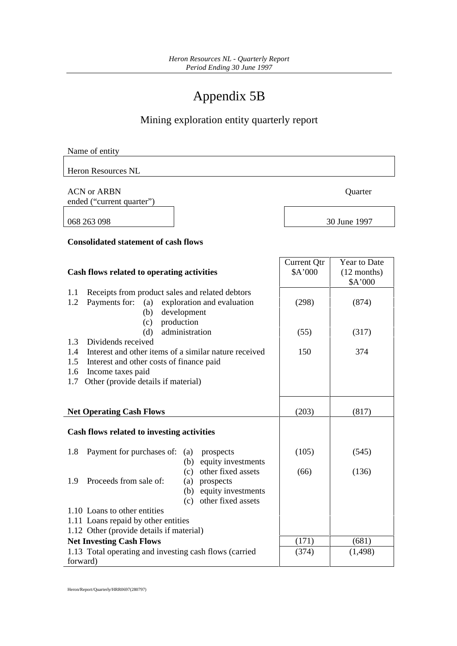# Appendix 5B

## Mining exploration entity quarterly report

| Name of entity |  |  |
|----------------|--|--|
|                |  |  |

Heron Resources NL

ACN or ARBN Quarter

ended ("current quarter")

068 263 098

|  | 30 June 1997 |
|--|--------------|

#### **Consolidated statement of cash flows**

| Cash flows related to operating activities                   | <b>Current Otr</b><br>\$A'000 | Year to Date<br>$(12$ months) |
|--------------------------------------------------------------|-------------------------------|-------------------------------|
|                                                              |                               | \$A'000                       |
| Receipts from product sales and related debtors<br>1.1       |                               |                               |
| 1.2<br>Payments for: (a)<br>exploration and evaluation       | (298)                         | (874)                         |
| development<br>(b)                                           |                               |                               |
| production<br>(c)                                            |                               |                               |
| administration<br>(d)                                        | (55)                          | (317)                         |
| 1.3<br>Dividends received                                    |                               |                               |
| Interest and other items of a similar nature received<br>1.4 | 150                           | 374                           |
| Interest and other costs of finance paid<br>1.5              |                               |                               |
| Income taxes paid<br>1.6                                     |                               |                               |
| Other (provide details if material)<br>1.7                   |                               |                               |
|                                                              |                               |                               |
|                                                              |                               |                               |
| <b>Net Operating Cash Flows</b>                              | (203)                         | (817)                         |
| Cash flows related to investing activities                   |                               |                               |
|                                                              |                               |                               |
| Payment for purchases of:<br>1.8<br>(a)<br>prospects         | (105)                         | (545)                         |
| equity investments<br>(b)                                    |                               |                               |
| other fixed assets<br>(c)                                    | (66)                          | (136)                         |
| Proceeds from sale of:<br>1.9<br>prospects<br>(a)            |                               |                               |
| equity investments<br>(b)                                    |                               |                               |
| other fixed assets<br>(c)                                    |                               |                               |
| 1.10 Loans to other entities                                 |                               |                               |
| 1.11 Loans repaid by other entities                          |                               |                               |
| 1.12 Other (provide details if material)                     |                               |                               |
| <b>Net Investing Cash Flows</b>                              | (171)                         | (681)                         |
| 1.13 Total operating and investing cash flows (carried       | (374)                         | (1, 498)                      |
| forward)                                                     |                               |                               |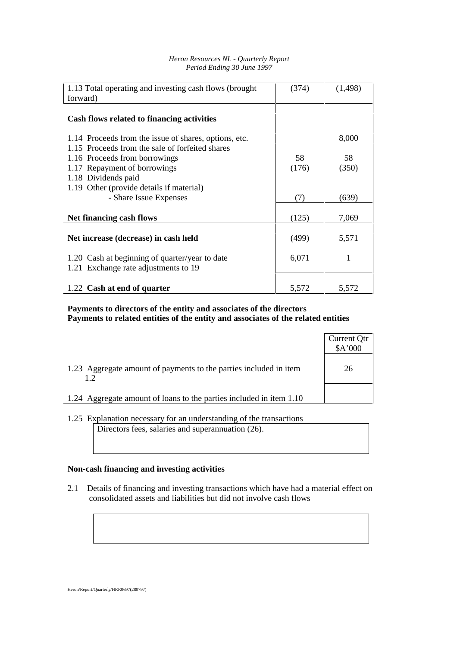| 1.13 Total operating and investing cash flows (brought                                 | (374) | (1,498) |
|----------------------------------------------------------------------------------------|-------|---------|
| forward)                                                                               |       |         |
| Cash flows related to financing activities                                             |       |         |
| 1.14 Proceeds from the issue of shares, options, etc.                                  |       | 8,000   |
| 1.15 Proceeds from the sale of forfeited shares                                        |       |         |
| 1.16 Proceeds from borrowings                                                          | 58    | 58      |
| 1.17 Repayment of borrowings                                                           | (176) | (350)   |
| 1.18 Dividends paid                                                                    |       |         |
| 1.19 Other (provide details if material)                                               |       |         |
| - Share Issue Expenses                                                                 | (7)   | (639)   |
|                                                                                        |       |         |
| Net financing cash flows                                                               | (125) | 7,069   |
| Net increase (decrease) in cash held                                                   | (499) | 5,571   |
| 1.20 Cash at beginning of quarter/year to date<br>1.21 Exchange rate adjustments to 19 | 6,071 | 1       |
| 1.22 Cash at end of quarter                                                            | 5,572 | 5,572   |

#### *Heron Resources NL - Quarterly Report Period Ending 30 June 1997*

## **Payments to directors of the entity and associates of the directors Payments to related entities of the entity and associates of the related entities**

|                                                                         | Current Qtr<br>\$A'000 |
|-------------------------------------------------------------------------|------------------------|
| 1.23 Aggregate amount of payments to the parties included in item<br>12 | 26                     |
| 1.24 Aggregate amount of loans to the parties included in item 1.10     |                        |

<sup>1.25</sup> Explanation necessary for an understanding of the transactions Directors fees, salaries and superannuation (26).

## **Non-cash financing and investing activities**

2.1 Details of financing and investing transactions which have had a material effect on consolidated assets and liabilities but did not involve cash flows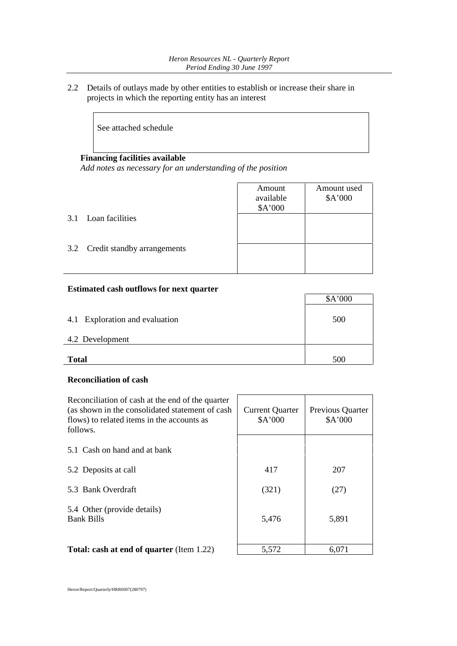2.2 Details of outlays made by other entities to establish or increase their share in projects in which the reporting entity has an interest

See attached schedule

#### **Financing facilities available**

*Add notes as necessary for an understanding of the position*

|                                 | Amount<br>available<br>\$A'000 | Amount used<br>\$A'000 |
|---------------------------------|--------------------------------|------------------------|
| 3.1 Loan facilities             |                                |                        |
| 3.2 Credit standby arrangements |                                |                        |

#### **Estimated cash outflows for next quarter**

|                                | \$A'000 |
|--------------------------------|---------|
| 4.1 Exploration and evaluation | 500     |
| 4.2 Development                |         |
| <b>Total</b>                   | 500     |

## **Reconciliation of cash**

| Reconciliation of cash at the end of the quarter<br>(as shown in the consolidated statement of cash)<br>flows) to related items in the accounts as<br>follows. | <b>Current Quarter</b><br>A'000 | Previous Quarter<br>\$A'000 |  |
|----------------------------------------------------------------------------------------------------------------------------------------------------------------|---------------------------------|-----------------------------|--|
| 5.1 Cash on hand and at bank                                                                                                                                   |                                 |                             |  |
| 5.2 Deposits at call                                                                                                                                           | 417                             | 207                         |  |
| 5.3 Bank Overdraft                                                                                                                                             | (321)                           | (27)                        |  |
| 5.4 Other (provide details)<br><b>Bank Bills</b>                                                                                                               | 5,476                           | 5,891                       |  |
| <b>Total: cash at end of quarter (Item 1.22)</b>                                                                                                               | 5,572                           | 6,071                       |  |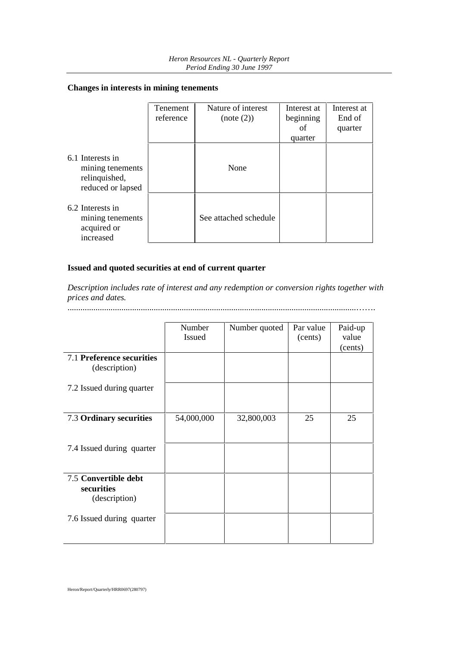## **Changes in interests in mining tenements**

|                                                                            | Tenement<br>reference | Nature of interest<br>(note (2)) | Interest at<br>beginning<br>of<br>quarter | Interest at<br>End of<br>quarter |
|----------------------------------------------------------------------------|-----------------------|----------------------------------|-------------------------------------------|----------------------------------|
| 6.1 Interests in<br>mining tenements<br>relinquished,<br>reduced or lapsed |                       | None                             |                                           |                                  |
| 6.2 Interests in<br>mining tenements<br>acquired or<br>increased           |                       | See attached schedule            |                                           |                                  |

## **Issued and quoted securities at end of current quarter**

*Description includes rate of interest and any redemption or conversion rights together with prices and dates.*

......................................................................................................................................…….

|                                                     | Number<br><b>Issued</b> | Number quoted | Par value<br>(cents) | Paid-up<br>value<br>(cents) |
|-----------------------------------------------------|-------------------------|---------------|----------------------|-----------------------------|
| 7.1 Preference securities<br>(description)          |                         |               |                      |                             |
| 7.2 Issued during quarter                           |                         |               |                      |                             |
| 7.3 Ordinary securities                             | 54,000,000              | 32,800,003    | 25                   | 25                          |
| 7.4 Issued during quarter                           |                         |               |                      |                             |
| 7.5 Convertible debt<br>securities<br>(description) |                         |               |                      |                             |
| 7.6 Issued during quarter                           |                         |               |                      |                             |

Heron/Report/Quarterly/HRR0697(280797)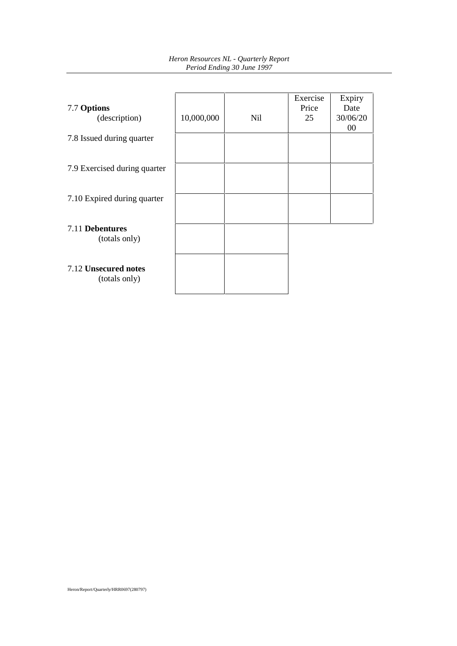| Heron Resources NL - Quarterly Report |
|---------------------------------------|
| Period Ending 30 June 1997            |

| 7.7 Options<br>(description)          | 10,000,000 | <b>Nil</b> | Exercise<br>Price<br>25 | Expiry<br>Date<br>30/06/20<br>00 |
|---------------------------------------|------------|------------|-------------------------|----------------------------------|
| 7.8 Issued during quarter             |            |            |                         |                                  |
| 7.9 Exercised during quarter          |            |            |                         |                                  |
| 7.10 Expired during quarter           |            |            |                         |                                  |
| 7.11 Debentures<br>(totals only)      |            |            |                         |                                  |
| 7.12 Unsecured notes<br>(totals only) |            |            |                         |                                  |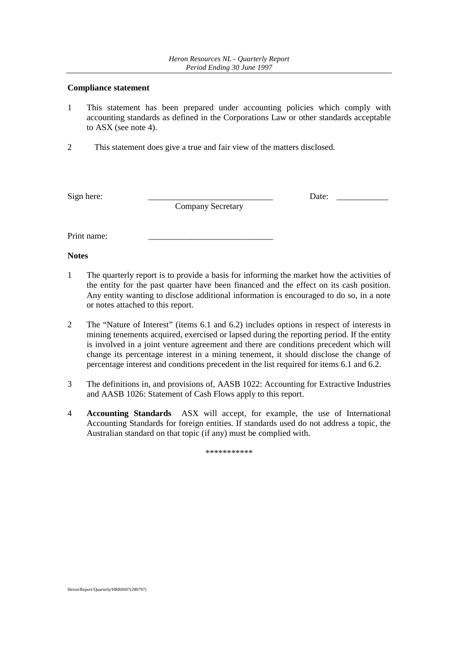#### **Compliance statement**

- 1 This statement has been prepared under accounting policies which comply with accounting standards as defined in the Corporations Law or other standards acceptable to ASX (see note 4).
- 2 This statement does give a true and fair view of the matters disclosed.

Company Secretary

Sign here: \_\_\_\_\_\_\_\_\_\_\_\_\_\_\_\_\_\_\_\_\_\_\_\_\_\_\_\_\_ Date: \_\_\_\_\_\_\_\_\_\_\_\_

Print name:

**Notes**

- 1 The quarterly report is to provide a basis for informing the market how the activities of the entity for the past quarter have been financed and the effect on its cash position. Any entity wanting to disclose additional information is encouraged to do so, in a note or notes attached to this report.
- 2 The "Nature of Interest" (items 6.1 and 6.2) includes options in respect of interests in mining tenements acquired, exercised or lapsed during the reporting period. If the entity is involved in a joint venture agreement and there are conditions precedent which will change its percentage interest in a mining tenement, it should disclose the change of percentage interest and conditions precedent in the list required for items 6.1 and 6.2.
- 3 The definitions in, and provisions of, AASB 1022: Accounting for Extractive Industries and AASB 1026: Statement of Cash Flows apply to this report.
- 4 **Accounting Standards** ASX will accept, for example, the use of International Accounting Standards for foreign entities. If standards used do not address a topic, the Australian standard on that topic (if any) must be complied with.

\*\*\*\*\*\*\*\*\*\*\*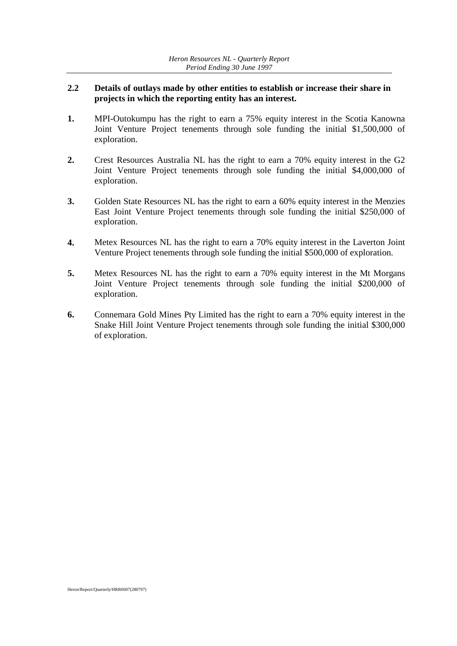## **2.2 Details of outlays made by other entities to establish or increase their share in projects in which the reporting entity has an interest.**

- **1.** MPI-Outokumpu has the right to earn a 75% equity interest in the Scotia Kanowna Joint Venture Project tenements through sole funding the initial \$1,500,000 of exploration.
- **2.** Crest Resources Australia NL has the right to earn a 70% equity interest in the G2 Joint Venture Project tenements through sole funding the initial \$4,000,000 of exploration.
- **3.** Golden State Resources NL has the right to earn a 60% equity interest in the Menzies East Joint Venture Project tenements through sole funding the initial \$250,000 of exploration.
- **4.** Metex Resources NL has the right to earn a 70% equity interest in the Laverton Joint Venture Project tenements through sole funding the initial \$500,000 of exploration.
- **5.** Metex Resources NL has the right to earn a 70% equity interest in the Mt Morgans Joint Venture Project tenements through sole funding the initial \$200,000 of exploration.
- **6.** Connemara Gold Mines Pty Limited has the right to earn a 70% equity interest in the Snake Hill Joint Venture Project tenements through sole funding the initial \$300,000 of exploration.